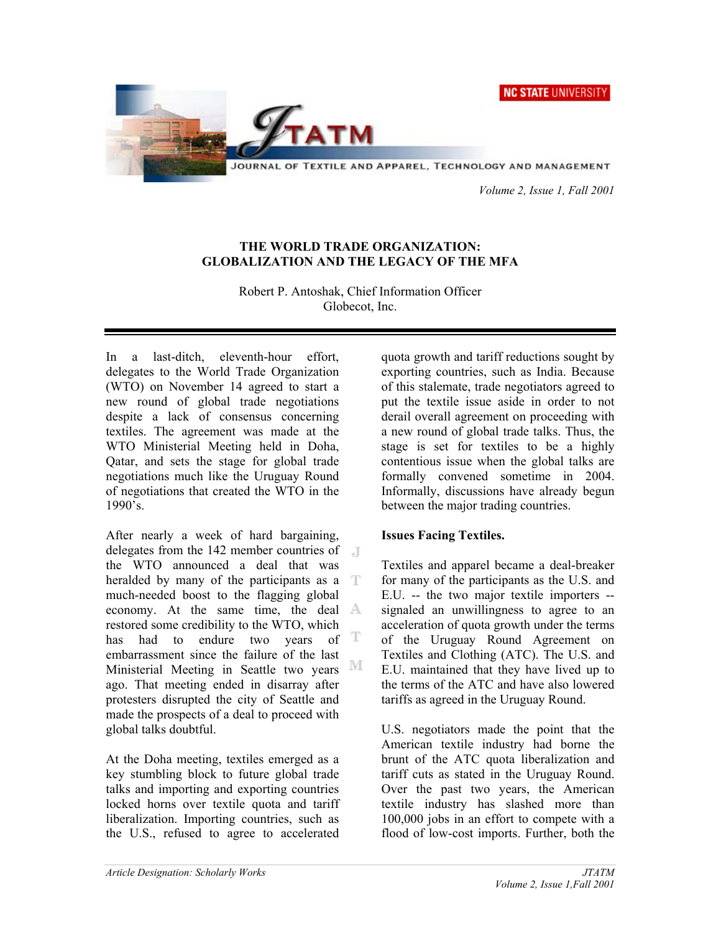



JOURNAL OF TEXTILE AND APPAREL, TECHNOLOGY AND MANAGEMENT

 *Volume 2, Issue 1, Fall 2001* 

# **THE WORLD TRADE ORGANIZATION: GLOBALIZATION AND THE LEGACY OF THE MFA**

Robert P. Antoshak, Chief Information Officer Globecot, Inc.

In a last-ditch, eleventh-hour effort, delegates to the World Trade Organization (WTO) on November 14 agreed to start a new round of global trade negotiations despite a lack of consensus concerning textiles. The agreement was made at the WTO Ministerial Meeting held in Doha, Qatar, and sets the stage for global trade negotiations much like the Uruguay Round of negotiations that created the WTO in the 1990's.

After nearly a week of hard bargaining, delegates from the 142 member countries of the WTO announced a deal that was heralded by many of the participants as a T much-needed boost to the flagging global economy. At the same time, the deal  $\mathbb{A}$ restored some credibility to the WTO, which has had to endure two years of  $T$ embarrassment since the failure of the last Ministerial Meeting in Seattle two years ago. That meeting ended in disarray after protesters disrupted the city of Seattle and made the prospects of a deal to proceed with global talks doubtful.

At the Doha meeting, textiles emerged as a key stumbling block to future global trade talks and importing and exporting countries locked horns over textile quota and tariff liberalization. Importing countries, such as the U.S., refused to agree to accelerated quota growth and tariff reductions sought by exporting countries, such as India. Because of this stalemate, trade negotiators agreed to put the textile issue aside in order to not derail overall agreement on proceeding with a new round of global trade talks. Thus, the stage is set for textiles to be a highly contentious issue when the global talks are formally convened sometime in 2004. Informally, discussions have already begun between the major trading countries.

# **Issues Facing Textiles.**

Textiles and apparel became a deal-breaker for many of the participants as the U.S. and E.U. -- the two major textile importers - signaled an unwillingness to agree to an acceleration of quota growth under the terms of the Uruguay Round Agreement on Textiles and Clothing (ATC). The U.S. and E.U. maintained that they have lived up to the terms of the ATC and have also lowered tariffs as agreed in the Uruguay Round.

U.S. negotiators made the point that the American textile industry had borne the brunt of the ATC quota liberalization and tariff cuts as stated in the Uruguay Round. Over the past two years, the American textile industry has slashed more than 100,000 jobs in an effort to compete with a flood of low-cost imports. Further, both the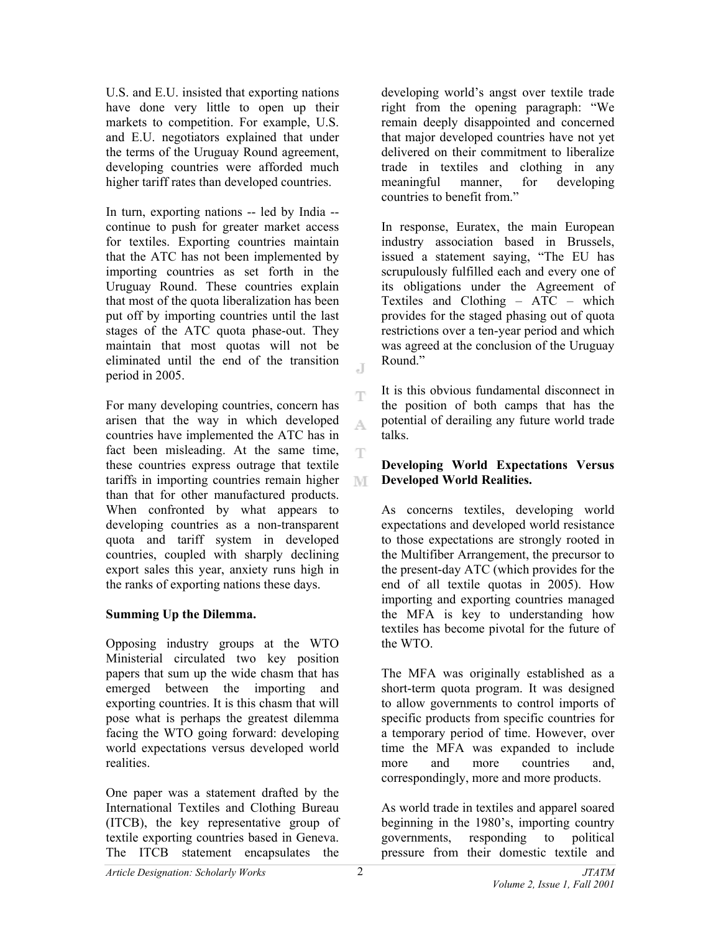U.S. and E.U. insisted that exporting nations have done very little to open up their markets to competition. For example, U.S. and E.U. negotiators explained that under the terms of the Uruguay Round agreement, developing countries were afforded much higher tariff rates than developed countries.

In turn, exporting nations -- led by India - continue to push for greater market access for textiles. Exporting countries maintain that the ATC has not been implemented by importing countries as set forth in the Uruguay Round. These countries explain that most of the quota liberalization has been put off by importing countries until the last stages of the ATC quota phase-out. They maintain that most quotas will not be eliminated until the end of the transition period in 2005.

For many developing countries, concern has arisen that the way in which developed countries have implemented the ATC has in fact been misleading. At the same time, these countries express outrage that textile tariffs in importing countries remain higher than that for other manufactured products. When confronted by what appears to developing countries as a non-transparent quota and tariff system in developed countries, coupled with sharply declining export sales this year, anxiety runs high in the ranks of exporting nations these days.

# **Summing Up the Dilemma.**

Opposing industry groups at the WTO Ministerial circulated two key position papers that sum up the wide chasm that has emerged between the importing and exporting countries. It is this chasm that will pose what is perhaps the greatest dilemma facing the WTO going forward: developing world expectations versus developed world realities.

One paper was a statement drafted by the International Textiles and Clothing Bureau (ITCB), the key representative group of textile exporting countries based in Geneva. The ITCB statement encapsulates the

developing world's angst over textile trade right from the opening paragraph: "We remain deeply disappointed and concerned that major developed countries have not yet delivered on their commitment to liberalize trade in textiles and clothing in any meaningful manner, for developing countries to benefit from."

In response, Euratex, the main European industry association based in Brussels, issued a statement saying, "The EU has scrupulously fulfilled each and every one of its obligations under the Agreement of Textiles and Clothing – ATC – which provides for the staged phasing out of quota restrictions over a ten-year period and which was agreed at the conclusion of the Uruguay Round."

It is this obvious fundamental disconnect in the position of both camps that has the potential of derailing any future world trade talks.

# **Developing World Expectations Versus Developed World Realities.**

As concerns textiles, developing world expectations and developed world resistance to those expectations are strongly rooted in the Multifiber Arrangement, the precursor to the present-day ATC (which provides for the end of all textile quotas in 2005). How importing and exporting countries managed the MFA is key to understanding how textiles has become pivotal for the future of the WTO.

The MFA was originally established as a short-term quota program. It was designed to allow governments to control imports of specific products from specific countries for a temporary period of time. However, over time the MFA was expanded to include more and more countries and, correspondingly, more and more products.

As world trade in textiles and apparel soared beginning in the 1980's, importing country governments, responding to political pressure from their domestic textile and

 $\Gamma$ 

T

A.

T.

M